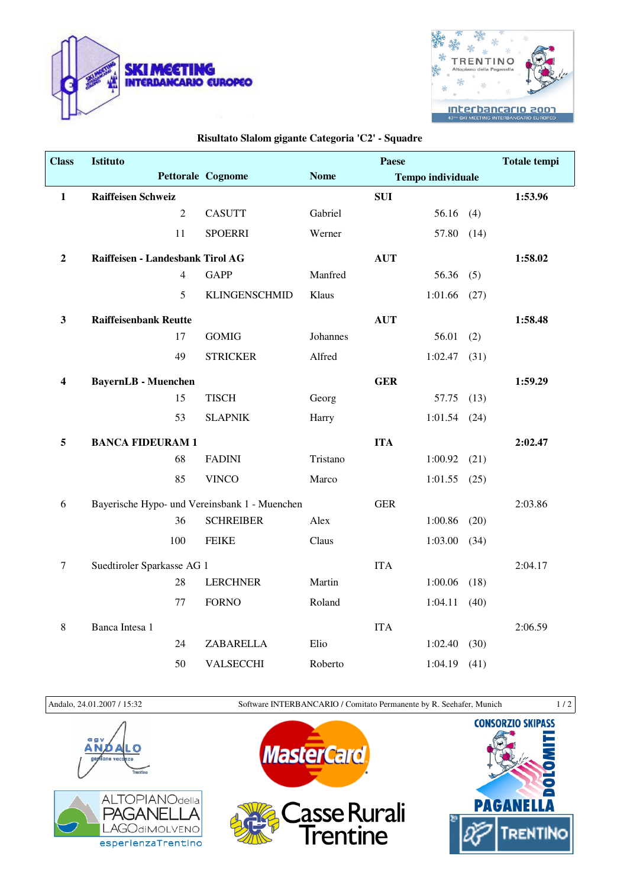



## **Risultato Slalom gigante Categoria 'C2' - Squadre**

| <b>Class</b>            | <b>Istituto</b>                  |                                               |             | Paese      |                          |      | <b>Totale tempi</b> |
|-------------------------|----------------------------------|-----------------------------------------------|-------------|------------|--------------------------|------|---------------------|
|                         |                                  | Pettorale Cognome                             | <b>Nome</b> |            | <b>Tempo individuale</b> |      |                     |
| $\mathbf{1}$            | <b>Raiffeisen Schweiz</b>        |                                               |             | <b>SUI</b> |                          |      | 1:53.96             |
|                         | $\overline{2}$                   | <b>CASUTT</b>                                 | Gabriel     |            | 56.16                    | (4)  |                     |
|                         | 11                               | <b>SPOERRI</b>                                | Werner      |            | 57.80                    | (14) |                     |
| $\boldsymbol{2}$        | Raiffeisen - Landesbank Tirol AG |                                               |             | <b>AUT</b> |                          |      | 1:58.02             |
|                         | $\overline{4}$                   | <b>GAPP</b>                                   | Manfred     |            | 56.36                    | (5)  |                     |
|                         | 5                                | <b>KLINGENSCHMID</b>                          | Klaus       |            | 1:01.66                  | (27) |                     |
| $\mathbf{3}$            | <b>Raiffeisenbank Reutte</b>     |                                               |             | <b>AUT</b> |                          |      | 1:58.48             |
|                         | 17                               | <b>GOMIG</b>                                  | Johannes    |            | 56.01                    | (2)  |                     |
|                         | 49                               | <b>STRICKER</b>                               | Alfred      |            | 1:02.47                  | (31) |                     |
| $\overline{\mathbf{4}}$ | <b>BayernLB</b> - Muenchen       |                                               |             | <b>GER</b> |                          |      | 1:59.29             |
|                         | 15                               | <b>TISCH</b>                                  | Georg       |            | 57.75                    | (13) |                     |
|                         | 53                               | <b>SLAPNIK</b>                                | Harry       |            | 1:01.54                  | (24) |                     |
| 5                       | <b>BANCA FIDEURAM 1</b>          |                                               |             | <b>ITA</b> |                          |      | 2:02.47             |
|                         | 68                               | <b>FADINI</b>                                 | Tristano    |            | 1:00.92                  | (21) |                     |
|                         | 85                               | <b>VINCO</b>                                  | Marco       |            | 1:01.55                  | (25) |                     |
| 6                       |                                  | Bayerische Hypo- und Vereinsbank 1 - Muenchen |             | <b>GER</b> |                          |      | 2:03.86             |
|                         | 36                               | <b>SCHREIBER</b>                              | Alex        |            | 1:00.86                  | (20) |                     |
|                         | 100                              | <b>FEIKE</b>                                  | Claus       |            | 1:03.00                  | (34) |                     |
| $\tau$                  | Suedtiroler Sparkasse AG 1       |                                               |             | <b>ITA</b> |                          |      | 2:04.17             |
|                         | 28                               | <b>LERCHNER</b>                               | Martin      |            | 1:00.06                  | (18) |                     |
|                         | 77                               | <b>FORNO</b>                                  | Roland      |            | 1:04.11                  | (40) |                     |
| $\,8\,$                 | Banca Intesa 1                   |                                               |             | <b>ITA</b> |                          |      | 2:06.59             |
|                         | 24                               | ZABARELLA                                     | Elio        |            | 1:02.40                  | (30) |                     |
|                         | 50                               | <b>VALSECCHI</b>                              | Roberto     |            | 1:04.19                  | (41) |                     |

Andalo, 24.01.2007 / 15:32 Software INTERBANCARIO / Comitato Permanente by R. Seehafer, Munich 1 / 2





*MasterCard*